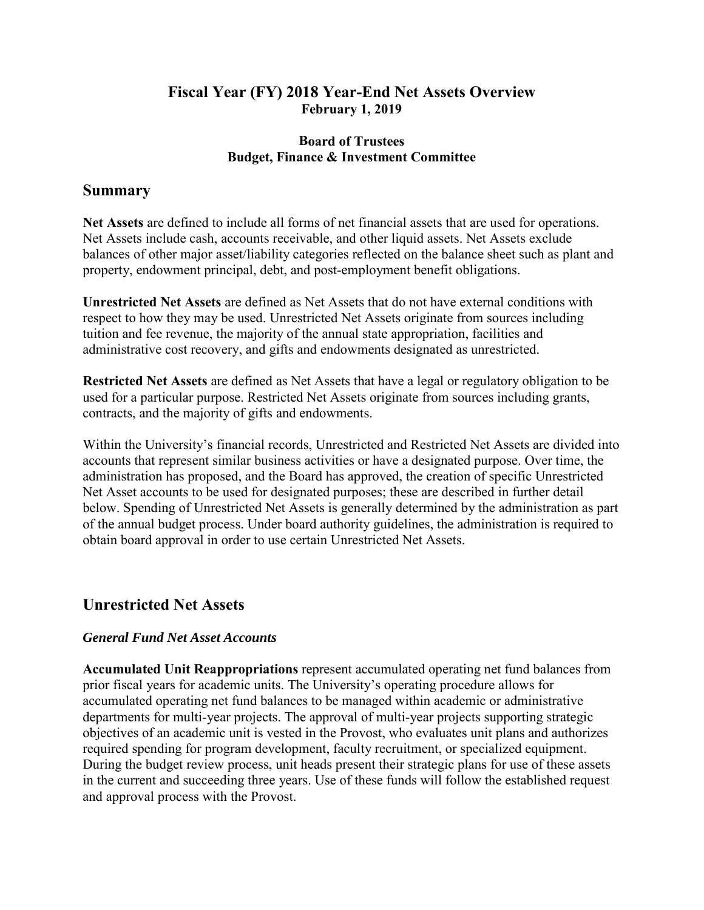## **Fiscal Year (FY) 2018 Year-End Net Assets Overview February 1, 2019**

### **Board of Trustees Budget, Finance & Investment Committee**

## **Summary**

**Net Assets** are defined to include all forms of net financial assets that are used for operations. Net Assets include cash, accounts receivable, and other liquid assets. Net Assets exclude balances of other major asset/liability categories reflected on the balance sheet such as plant and property, endowment principal, debt, and post-employment benefit obligations.

**Unrestricted Net Assets** are defined as Net Assets that do not have external conditions with respect to how they may be used. Unrestricted Net Assets originate from sources including tuition and fee revenue, the majority of the annual state appropriation, facilities and administrative cost recovery, and gifts and endowments designated as unrestricted.

**Restricted Net Assets** are defined as Net Assets that have a legal or regulatory obligation to be used for a particular purpose. Restricted Net Assets originate from sources including grants, contracts, and the majority of gifts and endowments.

Within the University's financial records, Unrestricted and Restricted Net Assets are divided into accounts that represent similar business activities or have a designated purpose. Over time, the administration has proposed, and the Board has approved, the creation of specific Unrestricted Net Asset accounts to be used for designated purposes; these are described in further detail below. Spending of Unrestricted Net Assets is generally determined by the administration as part of the annual budget process. Under board authority guidelines, the administration is required to obtain board approval in order to use certain Unrestricted Net Assets.

# **Unrestricted Net Assets**

### *General Fund Net Asset Accounts*

**Accumulated Unit Reappropriations** represent accumulated operating net fund balances from prior fiscal years for academic units. The University's operating procedure allows for accumulated operating net fund balances to be managed within academic or administrative departments for multi-year projects. The approval of multi-year projects supporting strategic objectives of an academic unit is vested in the Provost, who evaluates unit plans and authorizes required spending for program development, faculty recruitment, or specialized equipment. During the budget review process, unit heads present their strategic plans for use of these assets in the current and succeeding three years. Use of these funds will follow the established request and approval process with the Provost.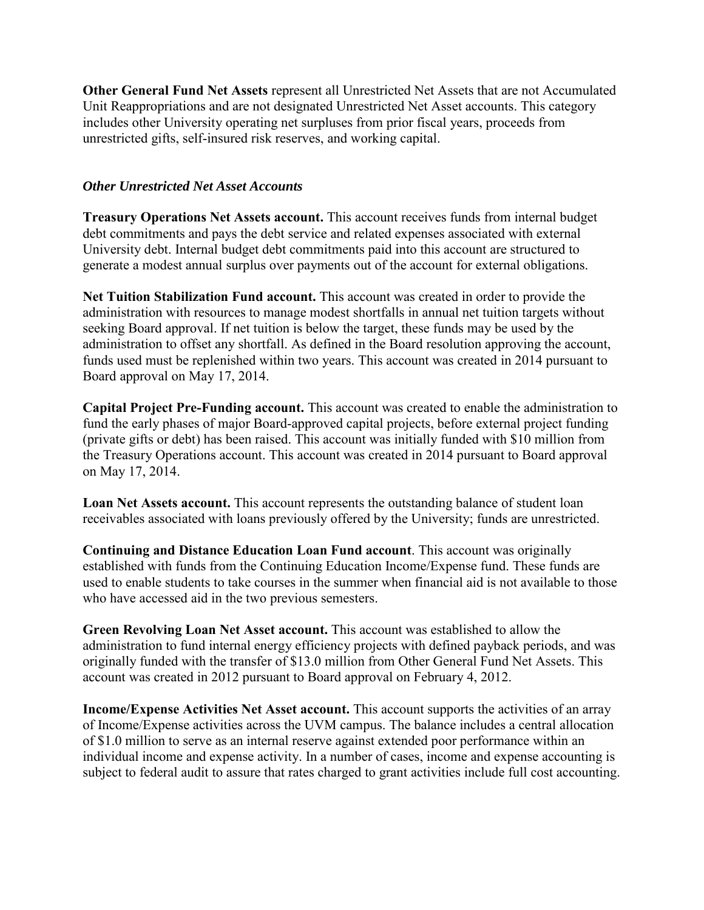**Other General Fund Net Assets** represent all Unrestricted Net Assets that are not Accumulated Unit Reappropriations and are not designated Unrestricted Net Asset accounts. This category includes other University operating net surpluses from prior fiscal years, proceeds from unrestricted gifts, self-insured risk reserves, and working capital.

#### *Other Unrestricted Net Asset Accounts*

**Treasury Operations Net Assets account.** This account receives funds from internal budget debt commitments and pays the debt service and related expenses associated with external University debt. Internal budget debt commitments paid into this account are structured to generate a modest annual surplus over payments out of the account for external obligations.

**Net Tuition Stabilization Fund account.** This account was created in order to provide the administration with resources to manage modest shortfalls in annual net tuition targets without seeking Board approval. If net tuition is below the target, these funds may be used by the administration to offset any shortfall. As defined in the Board resolution approving the account, funds used must be replenished within two years. This account was created in 2014 pursuant to Board approval on May 17, 2014.

**Capital Project Pre-Funding account.** This account was created to enable the administration to fund the early phases of major Board-approved capital projects, before external project funding (private gifts or debt) has been raised. This account was initially funded with \$10 million from the Treasury Operations account. This account was created in 2014 pursuant to Board approval on May 17, 2014.

**Loan Net Assets account.** This account represents the outstanding balance of student loan receivables associated with loans previously offered by the University; funds are unrestricted.

**Continuing and Distance Education Loan Fund account**. This account was originally established with funds from the Continuing Education Income/Expense fund. These funds are used to enable students to take courses in the summer when financial aid is not available to those who have accessed aid in the two previous semesters.

**Green Revolving Loan Net Asset account.** This account was established to allow the administration to fund internal energy efficiency projects with defined payback periods, and was originally funded with the transfer of \$13.0 million from Other General Fund Net Assets. This account was created in 2012 pursuant to Board approval on February 4, 2012.

**Income/Expense Activities Net Asset account.** This account supports the activities of an array of Income/Expense activities across the UVM campus. The balance includes a central allocation of \$1.0 million to serve as an internal reserve against extended poor performance within an individual income and expense activity. In a number of cases, income and expense accounting is subject to federal audit to assure that rates charged to grant activities include full cost accounting.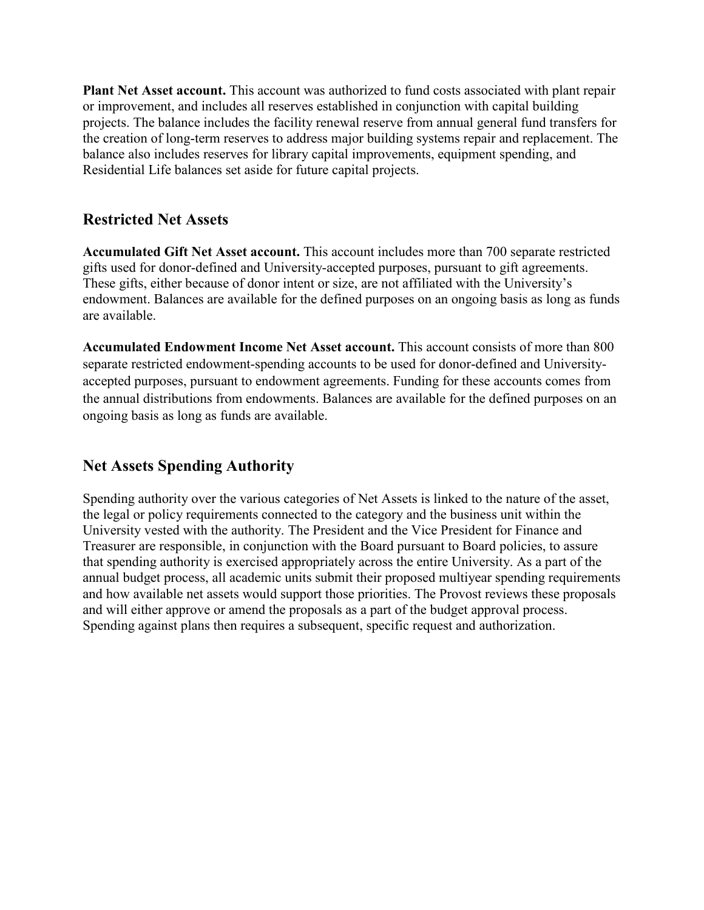**Plant Net Asset account.** This account was authorized to fund costs associated with plant repair or improvement, and includes all reserves established in conjunction with capital building projects. The balance includes the facility renewal reserve from annual general fund transfers for the creation of long-term reserves to address major building systems repair and replacement. The balance also includes reserves for library capital improvements, equipment spending, and Residential Life balances set aside for future capital projects.

# **Restricted Net Assets**

**Accumulated Gift Net Asset account.** This account includes more than 700 separate restricted gifts used for donor-defined and University-accepted purposes, pursuant to gift agreements. These gifts, either because of donor intent or size, are not affiliated with the University's endowment. Balances are available for the defined purposes on an ongoing basis as long as funds are available.

**Accumulated Endowment Income Net Asset account.** This account consists of more than 800 separate restricted endowment-spending accounts to be used for donor-defined and Universityaccepted purposes, pursuant to endowment agreements. Funding for these accounts comes from the annual distributions from endowments. Balances are available for the defined purposes on an ongoing basis as long as funds are available.

# **Net Assets Spending Authority**

Spending authority over the various categories of Net Assets is linked to the nature of the asset, the legal or policy requirements connected to the category and the business unit within the University vested with the authority. The President and the Vice President for Finance and Treasurer are responsible, in conjunction with the Board pursuant to Board policies, to assure that spending authority is exercised appropriately across the entire University. As a part of the annual budget process, all academic units submit their proposed multiyear spending requirements and how available net assets would support those priorities. The Provost reviews these proposals and will either approve or amend the proposals as a part of the budget approval process. Spending against plans then requires a subsequent, specific request and authorization.